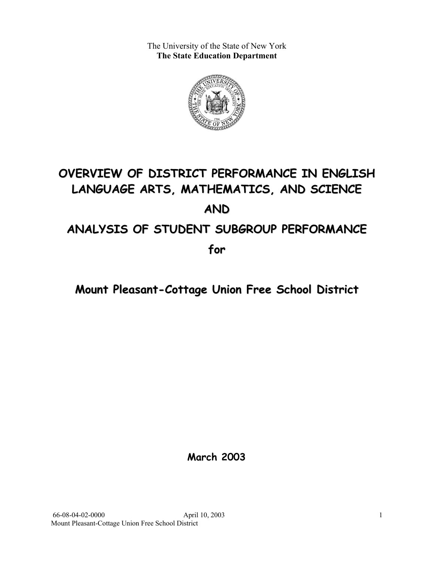The University of the State of New York **The State Education Department** 



# **OVERVIEW OF DISTRICT PERFORMANCE IN ENGLISH LANGUAGE ARTS, MATHEMATICS, AND SCIENCE AND ANALYSIS OF STUDENT SUBGROUP PERFORMANCE**

**for**

# **Mount Pleasant-Cottage Union Free School District**

**March 2003**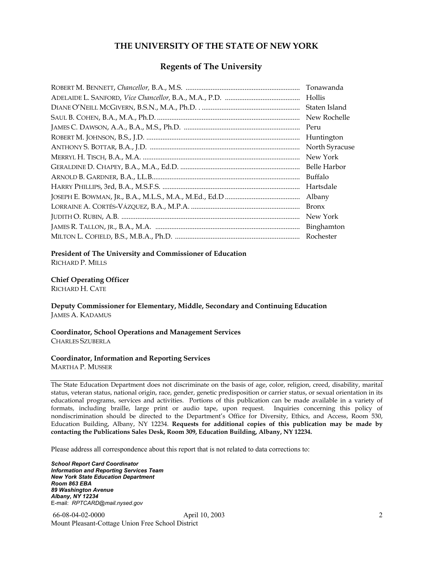#### **THE UNIVERSITY OF THE STATE OF NEW YORK**

#### **Regents of The University**

| Tonawanda      |
|----------------|
| Hollis         |
| Staten Island  |
| New Rochelle   |
| Peru           |
| Huntington     |
| North Syracuse |
| New York       |
| Belle Harbor   |
| Buffalo        |
| Hartsdale      |
| Albany         |
| <b>Bronx</b>   |
| New York       |
| Binghamton     |
| Rochester      |

#### **President of The University and Commissioner of Education**

RICHARD P. MILLS

#### **Chief Operating Officer**

RICHARD H. CATE

**Deputy Commissioner for Elementary, Middle, Secondary and Continuing Education**  JAMES A. KADAMUS

#### **Coordinator, School Operations and Management Services**  CHARLES SZUBERLA

#### **Coordinator, Information and Reporting Services**

MARTHA P. MUSSER

The State Education Department does not discriminate on the basis of age, color, religion, creed, disability, marital status, veteran status, national origin, race, gender, genetic predisposition or carrier status, or sexual orientation in its educational programs, services and activities. Portions of this publication can be made available in a variety of formats, including braille, large print or audio tape, upon request. Inquiries concerning this policy of nondiscrimination should be directed to the Department's Office for Diversity, Ethics, and Access, Room 530, Education Building, Albany, NY 12234. **Requests for additional copies of this publication may be made by contacting the Publications Sales Desk, Room 309, Education Building, Albany, NY 12234.** 

Please address all correspondence about this report that is not related to data corrections to:

*School Report Card Coordinator Information and Reporting Services Team New York State Education Department Room 863 EBA 89 Washington Avenue Albany, NY 12234*  E-mail: *RPTCARD@mail.nysed.gov*

 66-08-04-02-0000 April 10, 2003 Mount Pleasant-Cottage Union Free School District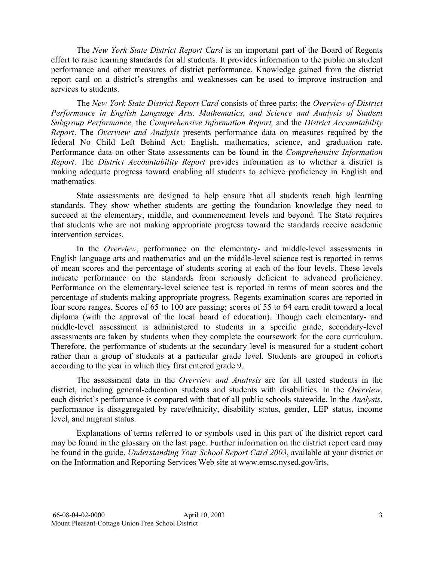The *New York State District Report Card* is an important part of the Board of Regents effort to raise learning standards for all students. It provides information to the public on student performance and other measures of district performance. Knowledge gained from the district report card on a district's strengths and weaknesses can be used to improve instruction and services to students.

The *New York State District Report Card* consists of three parts: the *Overview of District Performance in English Language Arts, Mathematics, and Science and Analysis of Student Subgroup Performance,* the *Comprehensive Information Report,* and the *District Accountability Report*. The *Overview and Analysis* presents performance data on measures required by the federal No Child Left Behind Act: English, mathematics, science, and graduation rate. Performance data on other State assessments can be found in the *Comprehensive Information Report*. The *District Accountability Report* provides information as to whether a district is making adequate progress toward enabling all students to achieve proficiency in English and mathematics.

State assessments are designed to help ensure that all students reach high learning standards. They show whether students are getting the foundation knowledge they need to succeed at the elementary, middle, and commencement levels and beyond. The State requires that students who are not making appropriate progress toward the standards receive academic intervention services.

In the *Overview*, performance on the elementary- and middle-level assessments in English language arts and mathematics and on the middle-level science test is reported in terms of mean scores and the percentage of students scoring at each of the four levels. These levels indicate performance on the standards from seriously deficient to advanced proficiency. Performance on the elementary-level science test is reported in terms of mean scores and the percentage of students making appropriate progress. Regents examination scores are reported in four score ranges. Scores of 65 to 100 are passing; scores of 55 to 64 earn credit toward a local diploma (with the approval of the local board of education). Though each elementary- and middle-level assessment is administered to students in a specific grade, secondary-level assessments are taken by students when they complete the coursework for the core curriculum. Therefore, the performance of students at the secondary level is measured for a student cohort rather than a group of students at a particular grade level. Students are grouped in cohorts according to the year in which they first entered grade 9.

The assessment data in the *Overview and Analysis* are for all tested students in the district, including general-education students and students with disabilities. In the *Overview*, each district's performance is compared with that of all public schools statewide. In the *Analysis*, performance is disaggregated by race/ethnicity, disability status, gender, LEP status, income level, and migrant status.

Explanations of terms referred to or symbols used in this part of the district report card may be found in the glossary on the last page. Further information on the district report card may be found in the guide, *Understanding Your School Report Card 2003*, available at your district or on the Information and Reporting Services Web site at www.emsc.nysed.gov/irts.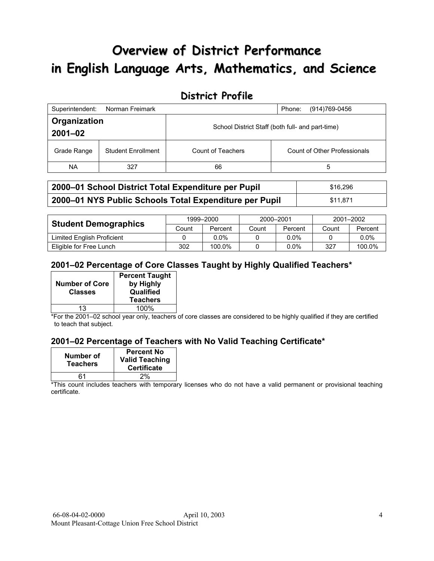# **Overview of District Performance in English Language Arts, Mathematics, and Science**

## **District Profile**

| Superintendent:             | Norman Freimark           |                                                  | (914)769-0456<br>Phone:      |  |
|-----------------------------|---------------------------|--------------------------------------------------|------------------------------|--|
| Organization<br>$2001 - 02$ |                           | School District Staff (both full- and part-time) |                              |  |
| Grade Range                 | <b>Student Enrollment</b> | Count of Teachers                                | Count of Other Professionals |  |
| <b>NA</b>                   | 327                       | 66                                               | 5                            |  |

| 2000-01 School District Total Expenditure per Pupil    | \$16,296 |
|--------------------------------------------------------|----------|
| 2000-01 NYS Public Schools Total Expenditure per Pupil | \$11.871 |

|                             | 1999-2000 |         | 2000-2001 |         | 2001-2002 |         |
|-----------------------------|-----------|---------|-----------|---------|-----------|---------|
| <b>Student Demographics</b> | Count     | Percent | Count     | Percent | Count     | Percent |
| Limited English Proficient  |           | 0.0%    |           | $0.0\%$ |           | $0.0\%$ |
| Eligible for Free Lunch     | 302       | 100.0%  |           | $0.0\%$ | 327       | 100.0%  |

#### **2001–02 Percentage of Core Classes Taught by Highly Qualified Teachers\***

| <b>Number of Core</b><br><b>Classes</b> | <b>Percent Taught</b><br>by Highly<br>Qualified<br><b>Teachers</b> |
|-----------------------------------------|--------------------------------------------------------------------|
| 13                                      | 100%                                                               |

\*For the 2001–02 school year only, teachers of core classes are considered to be highly qualified if they are certified to teach that subject.

#### **2001–02 Percentage of Teachers with No Valid Teaching Certificate\***

| Number of<br><b>Teachers</b> | <b>Percent No</b><br><b>Valid Teaching</b><br><b>Certificate</b> |
|------------------------------|------------------------------------------------------------------|
| 61                           | 2%                                                               |

\*This count includes teachers with temporary licenses who do not have a valid permanent or provisional teaching certificate.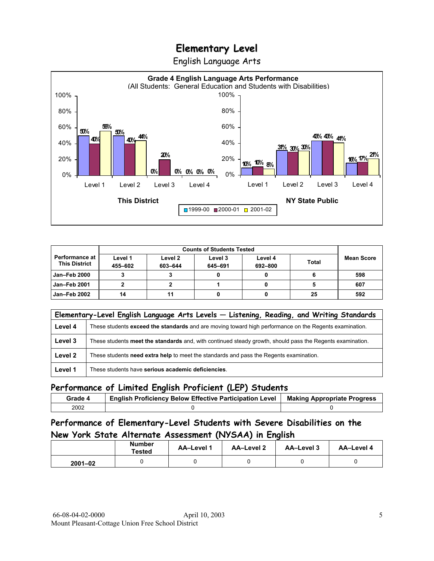English Language Arts



|                                                 |                    | <b>Counts of Students Tested</b> |                    |                    |              |            |
|-------------------------------------------------|--------------------|----------------------------------|--------------------|--------------------|--------------|------------|
| <b>Performance at I</b><br><b>This District</b> | Level 1<br>455-602 | Level 2<br>603-644               | Level 3<br>645-691 | Level 4<br>692-800 | <b>Total</b> | Mean Score |
| <b>Jan-Feb 2000</b>                             |                    |                                  |                    |                    |              | 598        |
| <b>Jan-Feb 2001</b>                             |                    |                                  |                    |                    |              | 607        |
| Jan-Feb 2002                                    | 14                 |                                  |                    |                    | 25           | 592        |

|         | Elementary-Level English Language Arts Levels - Listening, Reading, and Writing Standards                 |
|---------|-----------------------------------------------------------------------------------------------------------|
| Level 4 | These students exceed the standards and are moving toward high performance on the Regents examination.    |
| Level 3 | These students meet the standards and, with continued steady growth, should pass the Regents examination. |
| Level 2 | These students need extra help to meet the standards and pass the Regents examination.                    |
| Level 1 | These students have serious academic deficiencies.                                                        |

#### **Performance of Limited English Proficient (LEP) Students**

| Grade 4 | <b>English Proficiency Below Effective Participation Level</b> | <b>Making Appropriate Progress</b> |
|---------|----------------------------------------------------------------|------------------------------------|
| 2002    |                                                                |                                    |

### **Performance of Elementary-Level Students with Severe Disabilities on the New York State Alternate Assessment (NYSAA) in English**

|             | Number<br><b>Tested</b> | <b>AA-Level 1</b> | AA-Level 2 | AA-Level 3 | AA-Level 4 |
|-------------|-------------------------|-------------------|------------|------------|------------|
| $2001 - 02$ |                         |                   |            |            |            |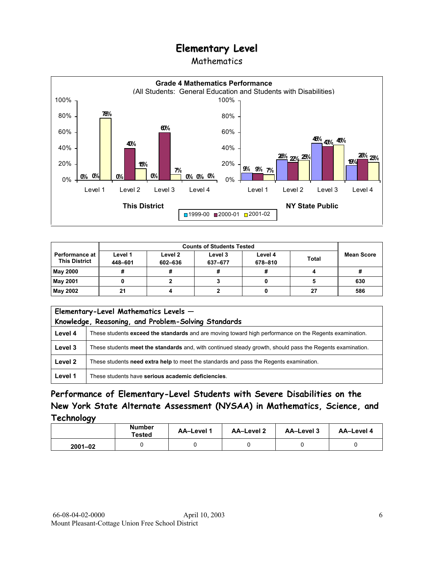### Mathematics



|                                               | <b>Counts of Students Tested</b> |                    |                    |                    |              |                   |
|-----------------------------------------------|----------------------------------|--------------------|--------------------|--------------------|--------------|-------------------|
| <b>Performance at</b><br><b>This District</b> | Level 1<br>448-601               | Level 2<br>602-636 | Level 3<br>637-677 | Level 4<br>678-810 | <b>Total</b> | <b>Mean Score</b> |
| <b>May 2000</b>                               |                                  |                    |                    |                    |              |                   |
| May 2001                                      |                                  |                    |                    |                    |              | 630               |
| May 2002                                      | 21                               |                    |                    |                    | 27           | 586               |

|         | Elementary-Level Mathematics Levels -<br>Knowledge, Reasoning, and Problem-Solving Standards              |  |  |  |
|---------|-----------------------------------------------------------------------------------------------------------|--|--|--|
| Level 4 | These students exceed the standards and are moving toward high performance on the Regents examination.    |  |  |  |
| Level 3 | These students meet the standards and, with continued steady growth, should pass the Regents examination. |  |  |  |
| Level 2 | These students need extra help to meet the standards and pass the Regents examination.                    |  |  |  |
| Level 1 | These students have serious academic deficiencies.                                                        |  |  |  |

**Performance of Elementary-Level Students with Severe Disabilities on the New York State Alternate Assessment (NYSAA) in Mathematics, Science, and Technology** 

|             | <b>Number</b><br>Tested | AA-Level 1 | <b>AA-Level 2</b> | <b>AA-Level 3</b> | AA-Level 4 |
|-------------|-------------------------|------------|-------------------|-------------------|------------|
| $2001 - 02$ |                         |            |                   |                   |            |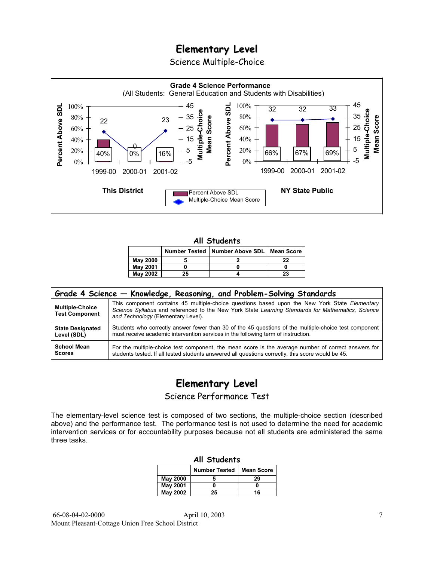Science Multiple-Choice



#### **All Students**

|                 |    | <b>Number Tested   Number Above SDL  </b> | <b>Mean Score</b> |
|-----------------|----|-------------------------------------------|-------------------|
| <b>May 2000</b> |    |                                           | 22                |
| <b>May 2001</b> |    |                                           |                   |
| May 2002        | 25 |                                           | 23                |

| Grade 4 Science – Knowledge, Reasoning, and Problem-Solving Standards |                                                                                                                                                                                                                                          |  |  |  |  |  |
|-----------------------------------------------------------------------|------------------------------------------------------------------------------------------------------------------------------------------------------------------------------------------------------------------------------------------|--|--|--|--|--|
| <b>Multiple-Choice</b><br><b>Test Component</b>                       | This component contains 45 multiple-choice questions based upon the New York State Elementary<br>Science Syllabus and referenced to the New York State Learning Standards for Mathematics, Science<br>and Technology (Elementary Level). |  |  |  |  |  |
| <b>State Designated</b>                                               | Students who correctly answer fewer than 30 of the 45 questions of the multiple-choice test component                                                                                                                                    |  |  |  |  |  |
| Level (SDL)                                                           | must receive academic intervention services in the following term of instruction.                                                                                                                                                        |  |  |  |  |  |
| <b>School Mean</b>                                                    | For the multiple-choice test component, the mean score is the average number of correct answers for                                                                                                                                      |  |  |  |  |  |
| <b>Scores</b>                                                         | students tested. If all tested students answered all questions correctly, this score would be 45.                                                                                                                                        |  |  |  |  |  |

# **Elementary Level**

Science Performance Test

The elementary-level science test is composed of two sections, the multiple-choice section (described above) and the performance test. The performance test is not used to determine the need for academic intervention services or for accountability purposes because not all students are administered the same three tasks.

| All Students                              |  |    |  |  |  |
|-------------------------------------------|--|----|--|--|--|
| <b>Number Tested</b><br><b>Mean Score</b> |  |    |  |  |  |
| May 2000                                  |  | 29 |  |  |  |
| <b>May 2001</b>                           |  |    |  |  |  |
| <b>May 2002</b><br>16<br>25               |  |    |  |  |  |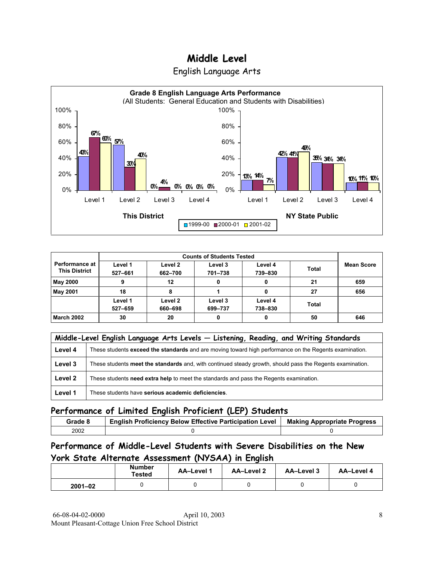English Language Arts



| <b>Performance at I</b><br><b>This District</b> | Level 1<br>527-661 | Level 2<br>662-700 | Level 3<br>701-738 | Level 4<br>739-830 | <b>Total</b> | <b>Mean Score</b> |
|-------------------------------------------------|--------------------|--------------------|--------------------|--------------------|--------------|-------------------|
| <b>May 2000</b>                                 |                    | 12                 |                    |                    | 21           | 659               |
| <b>May 2001</b>                                 | 18                 |                    |                    |                    | 27           | 656               |
|                                                 | Level 1<br>527-659 | Level 2<br>660-698 | Level 3<br>699-737 | Level 4<br>738-830 | <b>Total</b> |                   |
| <b>March 2002</b>                               | 30                 | 20                 |                    | 0                  | 50           | 646               |

|         | Middle-Level English Language Arts Levels - Listening, Reading, and Writing Standards                     |  |  |  |  |
|---------|-----------------------------------------------------------------------------------------------------------|--|--|--|--|
| Level 4 | These students exceed the standards and are moving toward high performance on the Regents examination.    |  |  |  |  |
| Level 3 | These students meet the standards and, with continued steady growth, should pass the Regents examination. |  |  |  |  |
| Level 2 | These students need extra help to meet the standards and pass the Regents examination.                    |  |  |  |  |
| Level 1 | These students have serious academic deficiencies.                                                        |  |  |  |  |

### **Performance of Limited English Proficient (LEP) Students**

| Grade 8 | <b>English Proficiency Below Effective Participation Level</b> | <b>Making Appropriate Progress</b> |
|---------|----------------------------------------------------------------|------------------------------------|
| 2002    |                                                                |                                    |

### **Performance of Middle-Level Students with Severe Disabilities on the New York State Alternate Assessment (NYSAA) in English**

|             | Number<br><b>AA-Level 1</b><br>Tested |  | AA-Level 2 | AA-Level 3 | AA-Level 4 |
|-------------|---------------------------------------|--|------------|------------|------------|
| $2001 - 02$ |                                       |  |            |            |            |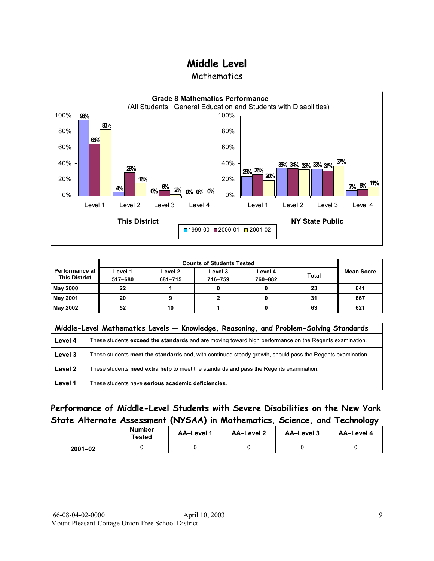**Mathematics** 



| <b>Performance at</b><br><b>This District</b> | Level 1 | Level 2 | Level 3 | Level 4 | <b>Total</b> | <b>Mean Score</b> |  |
|-----------------------------------------------|---------|---------|---------|---------|--------------|-------------------|--|
|                                               | 517-680 | 681-715 | 716-759 | 760-882 |              |                   |  |
| <b>May 2000</b>                               | 22      |         |         |         | 23           | 641               |  |
| <b>May 2001</b>                               | 20      |         |         |         | 31           | 667               |  |
| <b>May 2002</b>                               | 52      | 10      |         |         | 63           | 621               |  |

|         | Middle-Level Mathematics Levels - Knowledge, Reasoning, and Problem-Solving Standards                     |  |  |  |  |  |
|---------|-----------------------------------------------------------------------------------------------------------|--|--|--|--|--|
| Level 4 | These students exceed the standards and are moving toward high performance on the Regents examination.    |  |  |  |  |  |
| Level 3 | These students meet the standards and, with continued steady growth, should pass the Regents examination. |  |  |  |  |  |
| Level 2 | These students need extra help to meet the standards and pass the Regents examination.                    |  |  |  |  |  |
| Level 1 | These students have serious academic deficiencies.                                                        |  |  |  |  |  |

### **Performance of Middle-Level Students with Severe Disabilities on the New York State Alternate Assessment (NYSAA) in Mathematics, Science, and Technology**

|             | <b>Number</b><br>Tested | <b>AA-Level 1</b> | AA-Level 2 | AA-Level 3 | AA-Level 4 |
|-------------|-------------------------|-------------------|------------|------------|------------|
| $2001 - 02$ |                         |                   |            |            |            |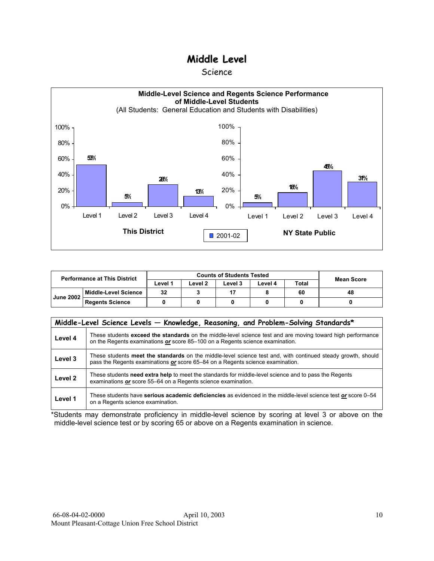#### Science



| <b>Performance at This District</b> |                        | <b>Counts of Students Tested</b> |         |         |         |              | <b>Mean Score</b> |
|-------------------------------------|------------------------|----------------------------------|---------|---------|---------|--------------|-------------------|
|                                     |                        | ∟evel 1                          | ∟evel 2 | Level 3 | Level 4 | <b>Total</b> |                   |
| <b>June 2002</b>                    | Middle-Level Science   | 32                               |         |         |         | 60           | 48                |
|                                     | <b>Regents Science</b> |                                  |         |         |         |              |                   |

|                    | Middle-Level Science Levels - Knowledge, Reasoning, and Problem-Solving Standards*                                                                                                             |  |  |  |  |  |  |  |  |  |
|--------------------|------------------------------------------------------------------------------------------------------------------------------------------------------------------------------------------------|--|--|--|--|--|--|--|--|--|
| Level 4            | These students exceed the standards on the middle-level science test and are moving toward high performance<br>on the Regents examinations or score 85-100 on a Regents science examination.   |  |  |  |  |  |  |  |  |  |
| Level 3            | These students meet the standards on the middle-level science test and, with continued steady growth, should<br>pass the Regents examinations or score 65–84 on a Regents science examination. |  |  |  |  |  |  |  |  |  |
| Level <sub>2</sub> | These students need extra help to meet the standards for middle-level science and to pass the Regents<br>examinations or score 55–64 on a Regents science examination.                         |  |  |  |  |  |  |  |  |  |
| Level 1            | These students have serious academic deficiencies as evidenced in the middle-level science test or score 0–54<br>on a Regents science examination.                                             |  |  |  |  |  |  |  |  |  |

\*Students may demonstrate proficiency in middle-level science by scoring at level 3 or above on the middle-level science test or by scoring 65 or above on a Regents examination in science.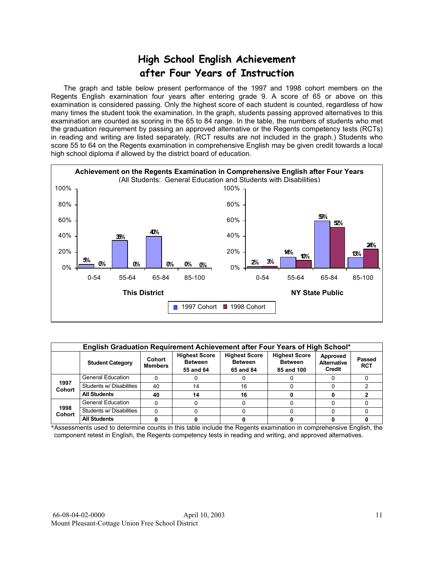# **High School English Achievement after Four Years of Instruction**

 The graph and table below present performance of the 1997 and 1998 cohort members on the Regents English examination four years after entering grade 9. A score of 65 or above on this examination is considered passing. Only the highest score of each student is counted, regardless of how many times the student took the examination. In the graph, students passing approved alternatives to this examination are counted as scoring in the 65 to 84 range. In the table, the numbers of students who met the graduation requirement by passing an approved alternative or the Regents competency tests (RCTs) in reading and writing are listed separately. (RCT results are not included in the graph.) Students who score 55 to 64 on the Regents examination in comprehensive English may be given credit towards a local high school diploma if allowed by the district board of education.



|                       | English Graduation Requirement Achievement after Four Years of High School* |                          |                                                     |                                                     |                                                      |                                          |                      |  |  |  |  |  |
|-----------------------|-----------------------------------------------------------------------------|--------------------------|-----------------------------------------------------|-----------------------------------------------------|------------------------------------------------------|------------------------------------------|----------------------|--|--|--|--|--|
|                       | <b>Student Category</b>                                                     | Cohort<br><b>Members</b> | <b>Highest Score</b><br><b>Between</b><br>55 and 64 | <b>Highest Score</b><br><b>Between</b><br>65 and 84 | <b>Highest Score</b><br><b>Between</b><br>85 and 100 | Approved<br><b>Alternative</b><br>Credit | Passed<br><b>RCT</b> |  |  |  |  |  |
|                       | <b>General Education</b>                                                    |                          |                                                     |                                                     |                                                      |                                          |                      |  |  |  |  |  |
| 1997<br><b>Cohort</b> | Students w/ Disabilities                                                    | 40                       | 14                                                  | 16                                                  |                                                      |                                          |                      |  |  |  |  |  |
|                       | <b>All Students</b>                                                         | 40                       | 14                                                  | 16                                                  |                                                      |                                          |                      |  |  |  |  |  |
|                       | <b>General Education</b>                                                    |                          |                                                     |                                                     |                                                      |                                          |                      |  |  |  |  |  |
| 1998<br><b>Cohort</b> | Students w/ Disabilities                                                    |                          |                                                     |                                                     |                                                      |                                          |                      |  |  |  |  |  |
|                       | <b>All Students</b>                                                         |                          |                                                     |                                                     |                                                      |                                          |                      |  |  |  |  |  |

\*Assessments used to determine counts in this table include the Regents examination in comprehensive English, the component retest in English, the Regents competency tests in reading and writing, and approved alternatives.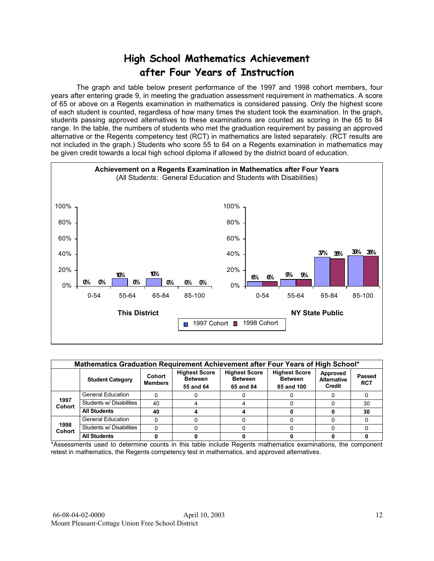# **High School Mathematics Achievement after Four Years of Instruction**

 The graph and table below present performance of the 1997 and 1998 cohort members, four years after entering grade 9, in meeting the graduation assessment requirement in mathematics. A score of 65 or above on a Regents examination in mathematics is considered passing. Only the highest score of each student is counted, regardless of how many times the student took the examination. In the graph, students passing approved alternatives to these examinations are counted as scoring in the 65 to 84 range. In the table, the numbers of students who met the graduation requirement by passing an approved alternative or the Regents competency test (RCT) in mathematics are listed separately. (RCT results are not included in the graph.) Students who score 55 to 64 on a Regents examination in mathematics may be given credit towards a local high school diploma if allowed by the district board of education.



|                       | Mathematics Graduation Requirement Achievement after Four Years of High School* |                          |                                                     |                                                     |                                                      |                                          |                             |  |  |  |  |  |  |
|-----------------------|---------------------------------------------------------------------------------|--------------------------|-----------------------------------------------------|-----------------------------------------------------|------------------------------------------------------|------------------------------------------|-----------------------------|--|--|--|--|--|--|
|                       | <b>Student Category</b>                                                         | Cohort<br><b>Members</b> | <b>Highest Score</b><br><b>Between</b><br>55 and 64 | <b>Highest Score</b><br><b>Between</b><br>65 and 84 | <b>Highest Score</b><br><b>Between</b><br>85 and 100 | Approved<br><b>Alternative</b><br>Credit | <b>Passed</b><br><b>RCT</b> |  |  |  |  |  |  |
|                       | <b>General Education</b>                                                        |                          |                                                     |                                                     |                                                      |                                          |                             |  |  |  |  |  |  |
| 1997<br><b>Cohort</b> | Students w/ Disabilities                                                        | 40                       |                                                     |                                                     |                                                      |                                          | 30                          |  |  |  |  |  |  |
|                       | <b>All Students</b>                                                             | 40                       |                                                     |                                                     |                                                      |                                          | 30                          |  |  |  |  |  |  |
|                       | <b>General Education</b>                                                        |                          |                                                     |                                                     |                                                      |                                          |                             |  |  |  |  |  |  |
| 1998<br><b>Cohort</b> | Students w/ Disabilities                                                        |                          |                                                     |                                                     |                                                      |                                          |                             |  |  |  |  |  |  |
|                       | <b>All Students</b>                                                             |                          |                                                     |                                                     |                                                      |                                          |                             |  |  |  |  |  |  |

\*Assessments used to determine counts in this table include Regents mathematics examinations, the component retest in mathematics, the Regents competency test in mathematics, and approved alternatives.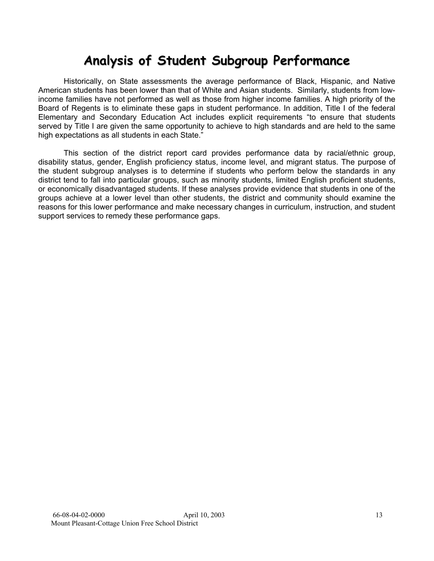# **Analysis of Student Subgroup Performance**

Historically, on State assessments the average performance of Black, Hispanic, and Native American students has been lower than that of White and Asian students. Similarly, students from lowincome families have not performed as well as those from higher income families. A high priority of the Board of Regents is to eliminate these gaps in student performance. In addition, Title I of the federal Elementary and Secondary Education Act includes explicit requirements "to ensure that students served by Title I are given the same opportunity to achieve to high standards and are held to the same high expectations as all students in each State."

This section of the district report card provides performance data by racial/ethnic group, disability status, gender, English proficiency status, income level, and migrant status. The purpose of the student subgroup analyses is to determine if students who perform below the standards in any district tend to fall into particular groups, such as minority students, limited English proficient students, or economically disadvantaged students. If these analyses provide evidence that students in one of the groups achieve at a lower level than other students, the district and community should examine the reasons for this lower performance and make necessary changes in curriculum, instruction, and student support services to remedy these performance gaps.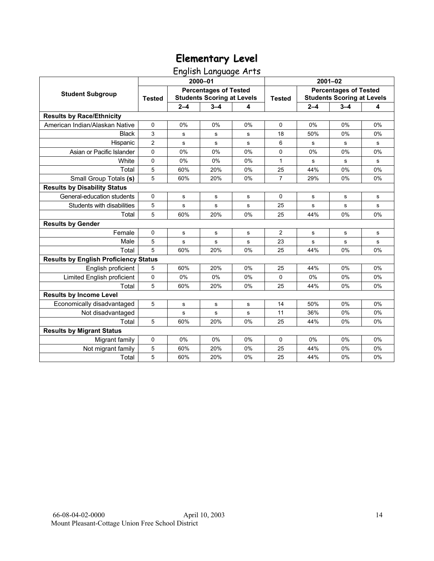English Language Arts

|                                              |                |         | 2000-01                                                           |    |                |             | $2001 - 02$                                                       |             |  |  |
|----------------------------------------------|----------------|---------|-------------------------------------------------------------------|----|----------------|-------------|-------------------------------------------------------------------|-------------|--|--|
| <b>Student Subgroup</b>                      | <b>Tested</b>  |         | <b>Percentages of Tested</b><br><b>Students Scoring at Levels</b> |    | <b>Tested</b>  |             | <b>Percentages of Tested</b><br><b>Students Scoring at Levels</b> |             |  |  |
|                                              |                | $2 - 4$ | $3 - 4$                                                           | 4  |                | $2 - 4$     | $3 - 4$                                                           | 4           |  |  |
| <b>Results by Race/Ethnicity</b>             |                |         |                                                                   |    |                |             |                                                                   |             |  |  |
| American Indian/Alaskan Native               | $\mathbf 0$    | 0%      | 0%                                                                | 0% | 0              | 0%          | 0%                                                                | 0%          |  |  |
| <b>Black</b>                                 | 3              | s       | s                                                                 | s  | 18             | 50%         | 0%                                                                | 0%          |  |  |
| Hispanic                                     | $\overline{c}$ | s       | ${\bf s}$                                                         | s  | 6              | s           | s                                                                 | s           |  |  |
| Asian or Pacific Islander                    | $\pmb{0}$      | 0%      | 0%                                                                | 0% | 0              | 0%          | 0%                                                                | 0%          |  |  |
| White                                        | $\mathbf 0$    | 0%      | 0%                                                                | 0% | $\mathbf{1}$   | s           | s                                                                 | s           |  |  |
| Total                                        | 5              | 60%     | 20%                                                               | 0% | 25             | 44%         | 0%                                                                | 0%          |  |  |
| Small Group Totals (s)                       | 5              | 60%     | 20%                                                               | 0% | $\overline{7}$ | 29%         | 0%                                                                | 0%          |  |  |
| <b>Results by Disability Status</b>          |                |         |                                                                   |    |                |             |                                                                   |             |  |  |
| General-education students                   | 0              | s       | ${\bf s}$                                                         | s  | 0              | s           | s                                                                 | s           |  |  |
| Students with disabilities                   | 5              | s       | s                                                                 | s  | 25             | s           | s                                                                 | s           |  |  |
| Total                                        | 5              | 60%     | 20%                                                               | 0% | 25             | 44%         | 0%                                                                | 0%          |  |  |
| <b>Results by Gender</b>                     |                |         |                                                                   |    |                |             |                                                                   |             |  |  |
| Female                                       | $\Omega$       | s       | s                                                                 | s  | $\overline{2}$ | s           | s                                                                 | s           |  |  |
| Male                                         | 5              | s       | s                                                                 | s  | 23             | $\mathbf s$ | s                                                                 | $\mathbf s$ |  |  |
| Total                                        | 5              | 60%     | 20%                                                               | 0% | 25             | 44%         | 0%                                                                | 0%          |  |  |
| <b>Results by English Proficiency Status</b> |                |         |                                                                   |    |                |             |                                                                   |             |  |  |
| English proficient                           | 5              | 60%     | 20%                                                               | 0% | 25             | 44%         | 0%                                                                | 0%          |  |  |
| Limited English proficient                   | 0              | 0%      | 0%                                                                | 0% | $\Omega$       | 0%          | 0%                                                                | 0%          |  |  |
| Total                                        | 5              | 60%     | 20%                                                               | 0% | 25             | 44%         | 0%                                                                | 0%          |  |  |
| <b>Results by Income Level</b>               |                |         |                                                                   |    |                |             |                                                                   |             |  |  |
| Economically disadvantaged                   | 5              | s       | ${\bf s}$                                                         | s  | 14             | 50%         | 0%                                                                | 0%          |  |  |
| Not disadvantaged                            |                | s       | s                                                                 | s  | 11             | 36%         | 0%                                                                | 0%          |  |  |
| Total                                        | 5              | 60%     | 20%                                                               | 0% | 25             | 44%         | 0%                                                                | 0%          |  |  |
| <b>Results by Migrant Status</b>             |                |         |                                                                   |    |                |             |                                                                   |             |  |  |
| Migrant family                               | 0              | 0%      | 0%                                                                | 0% | 0              | 0%          | 0%                                                                | $0\%$       |  |  |
| Not migrant family                           | 5              | 60%     | 20%                                                               | 0% | 25             | 44%         | 0%                                                                | 0%          |  |  |
| Total                                        | 5              | 60%     | 20%                                                               | 0% | 25             | 44%         | 0%                                                                | 0%          |  |  |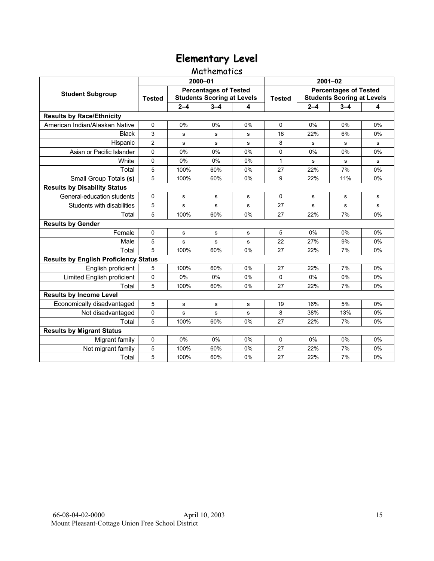### Mathematics

|                                              |                |         | 2000-01                                                           |    | $2001 - 02$   |         |                                                                   |       |  |
|----------------------------------------------|----------------|---------|-------------------------------------------------------------------|----|---------------|---------|-------------------------------------------------------------------|-------|--|
| <b>Student Subgroup</b>                      | <b>Tested</b>  |         | <b>Percentages of Tested</b><br><b>Students Scoring at Levels</b> |    | <b>Tested</b> |         | <b>Percentages of Tested</b><br><b>Students Scoring at Levels</b> |       |  |
|                                              |                | $2 - 4$ | $3 - 4$                                                           | 4  |               | $2 - 4$ | $3 - 4$                                                           | 4     |  |
| <b>Results by Race/Ethnicity</b>             |                |         |                                                                   |    |               |         |                                                                   |       |  |
| American Indian/Alaskan Native               | $\Omega$       | 0%      | 0%                                                                | 0% | $\Omega$      | 0%      | 0%                                                                | 0%    |  |
| <b>Black</b>                                 | 3              | s       | s                                                                 | s  | 18            | 22%     | 6%                                                                | 0%    |  |
| Hispanic                                     | $\overline{2}$ | s       | s                                                                 | s  | 8             | s       | s                                                                 | s     |  |
| Asian or Pacific Islander                    | 0              | 0%      | 0%                                                                | 0% | 0             | 0%      | 0%                                                                | 0%    |  |
| White                                        | 0              | 0%      | 0%                                                                | 0% | $\mathbf{1}$  | s       | s                                                                 | s     |  |
| Total                                        | 5              | 100%    | 60%                                                               | 0% | 27            | 22%     | 7%                                                                | 0%    |  |
| Small Group Totals (s)                       | 5              | 100%    | 60%                                                               | 0% | 9             | 22%     | 11%                                                               | 0%    |  |
| <b>Results by Disability Status</b>          |                |         |                                                                   |    |               |         |                                                                   |       |  |
| General-education students                   | $\Omega$       | s       | s                                                                 | s  | $\Omega$      | s       | s                                                                 | s     |  |
| Students with disabilities                   | 5              | s       | s                                                                 | s  | 27            | s       | s                                                                 | s     |  |
| Total                                        | 5              | 100%    | 60%                                                               | 0% | 27            | 22%     | 7%                                                                | 0%    |  |
| <b>Results by Gender</b>                     |                |         |                                                                   |    |               |         |                                                                   |       |  |
| Female                                       | 0              | s       | s                                                                 | s  | 5             | 0%      | 0%                                                                | $0\%$ |  |
| Male                                         | 5              | s       | s                                                                 | s  | 22            | 27%     | 9%                                                                | 0%    |  |
| Total                                        | 5              | 100%    | 60%                                                               | 0% | 27            | 22%     | 7%                                                                | 0%    |  |
| <b>Results by English Proficiency Status</b> |                |         |                                                                   |    |               |         |                                                                   |       |  |
| English proficient                           | 5              | 100%    | 60%                                                               | 0% | 27            | 22%     | 7%                                                                | 0%    |  |
| Limited English proficient                   | 0              | 0%      | 0%                                                                | 0% | $\Omega$      | 0%      | 0%                                                                | 0%    |  |
| Total                                        | 5              | 100%    | 60%                                                               | 0% | 27            | 22%     | 7%                                                                | 0%    |  |
| <b>Results by Income Level</b>               |                |         |                                                                   |    |               |         |                                                                   |       |  |
| Economically disadvantaged                   | 5              | s       | s                                                                 | s  | 19            | 16%     | 5%                                                                | 0%    |  |
| Not disadvantaged                            | 0              | s       | s                                                                 | s  | 8             | 38%     | 13%                                                               | 0%    |  |
| Total                                        | 5              | 100%    | 60%                                                               | 0% | 27            | 22%     | 7%                                                                | 0%    |  |
| <b>Results by Migrant Status</b>             |                |         |                                                                   |    |               |         |                                                                   |       |  |
| Migrant family                               | 0              | 0%      | 0%                                                                | 0% | 0             | 0%      | 0%                                                                | 0%    |  |
| Not migrant family                           | 5              | 100%    | 60%                                                               | 0% | 27            | 22%     | 7%                                                                | 0%    |  |
| Total                                        | 5              | 100%    | 60%                                                               | 0% | 27            | 22%     | 7%                                                                | 0%    |  |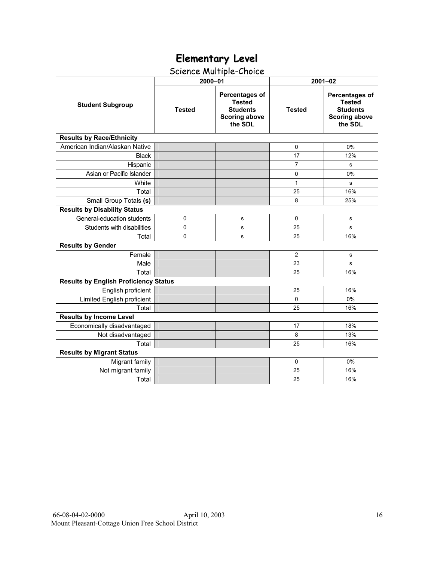## Science Multiple-Choice

|                                              | 2000-01       |                                                                                       | $2001 - 02$    |                                                                                              |  |  |
|----------------------------------------------|---------------|---------------------------------------------------------------------------------------|----------------|----------------------------------------------------------------------------------------------|--|--|
| <b>Student Subgroup</b>                      | <b>Tested</b> | Percentages of<br><b>Tested</b><br><b>Students</b><br><b>Scoring above</b><br>the SDL | <b>Tested</b>  | <b>Percentages of</b><br><b>Tested</b><br><b>Students</b><br><b>Scoring above</b><br>the SDL |  |  |
| <b>Results by Race/Ethnicity</b>             |               |                                                                                       |                |                                                                                              |  |  |
| American Indian/Alaskan Native               |               |                                                                                       | 0              | 0%                                                                                           |  |  |
| <b>Black</b>                                 |               |                                                                                       | 17             | 12%                                                                                          |  |  |
| Hispanic                                     |               |                                                                                       | $\overline{7}$ | s                                                                                            |  |  |
| Asian or Pacific Islander                    |               |                                                                                       | $\mathbf 0$    | 0%                                                                                           |  |  |
| White                                        |               |                                                                                       | 1              | s                                                                                            |  |  |
| Total                                        |               |                                                                                       | 25             | 16%                                                                                          |  |  |
| Small Group Totals (s)                       |               |                                                                                       | 8              | 25%                                                                                          |  |  |
| <b>Results by Disability Status</b>          |               |                                                                                       |                |                                                                                              |  |  |
| General-education students                   | $\pmb{0}$     | s                                                                                     | $\mathbf 0$    | $\mathbf s$                                                                                  |  |  |
| Students with disabilities                   | 0             | s                                                                                     | 25             | s                                                                                            |  |  |
| Total                                        | 0             | s                                                                                     | 25             | 16%                                                                                          |  |  |
| <b>Results by Gender</b>                     |               |                                                                                       |                |                                                                                              |  |  |
| Female                                       |               |                                                                                       | 2              | s                                                                                            |  |  |
| Male                                         |               |                                                                                       | 23             | s                                                                                            |  |  |
| Total                                        |               |                                                                                       | 25             | 16%                                                                                          |  |  |
| <b>Results by English Proficiency Status</b> |               |                                                                                       |                |                                                                                              |  |  |
| English proficient                           |               |                                                                                       | 25             | 16%                                                                                          |  |  |
| Limited English proficient                   |               |                                                                                       | $\Omega$       | 0%                                                                                           |  |  |
| Total                                        |               |                                                                                       | 25             | 16%                                                                                          |  |  |
| <b>Results by Income Level</b>               |               |                                                                                       |                |                                                                                              |  |  |
| Economically disadvantaged                   |               |                                                                                       | 17             | 18%                                                                                          |  |  |
| Not disadvantaged                            |               |                                                                                       | 8              | 13%                                                                                          |  |  |
| Total                                        |               |                                                                                       | 25             | 16%                                                                                          |  |  |
| <b>Results by Migrant Status</b>             |               |                                                                                       |                |                                                                                              |  |  |
| Migrant family                               |               |                                                                                       | 0              | 0%                                                                                           |  |  |
| Not migrant family                           |               |                                                                                       | 25             | 16%                                                                                          |  |  |
| Total                                        |               |                                                                                       | 25             | 16%                                                                                          |  |  |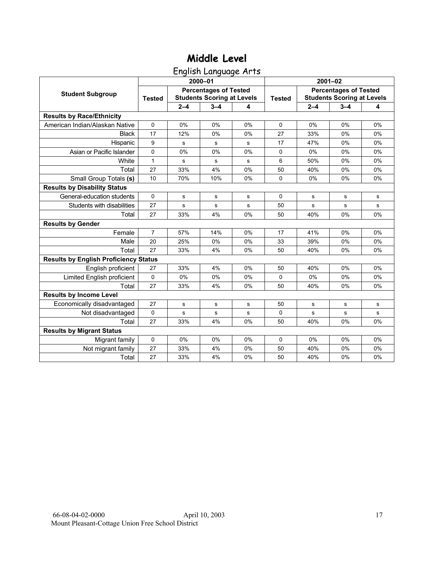English Language Arts

|                                              |               |         | 2000-01                                                           |    | $2001 - 02$   |             |                                                                   |    |  |
|----------------------------------------------|---------------|---------|-------------------------------------------------------------------|----|---------------|-------------|-------------------------------------------------------------------|----|--|
| <b>Student Subgroup</b>                      | <b>Tested</b> |         | <b>Percentages of Tested</b><br><b>Students Scoring at Levels</b> |    | <b>Tested</b> |             | <b>Percentages of Tested</b><br><b>Students Scoring at Levels</b> |    |  |
|                                              |               | $2 - 4$ | $3 - 4$                                                           | 4  |               | $2 - 4$     | $3 - 4$                                                           | 4  |  |
| <b>Results by Race/Ethnicity</b>             |               |         |                                                                   |    |               |             |                                                                   |    |  |
| American Indian/Alaskan Native               | $\mathbf 0$   | 0%      | 0%                                                                | 0% | $\Omega$      | 0%          | 0%                                                                | 0% |  |
| <b>Black</b>                                 | 17            | 12%     | 0%                                                                | 0% | 27            | 33%         | 0%                                                                | 0% |  |
| Hispanic                                     | 9             | s       | s                                                                 | s  | 17            | 47%         | 0%                                                                | 0% |  |
| Asian or Pacific Islander                    | 0             | 0%      | 0%                                                                | 0% | 0             | 0%          | 0%                                                                | 0% |  |
| White                                        | 1             | s       | ${\bf s}$                                                         | s  | 6             | 50%         | 0%                                                                | 0% |  |
| Total                                        | 27            | 33%     | 4%                                                                | 0% | 50            | 40%         | 0%                                                                | 0% |  |
| Small Group Totals (s)                       | 10            | 70%     | 10%                                                               | 0% | $\Omega$      | 0%          | 0%                                                                | 0% |  |
| <b>Results by Disability Status</b>          |               |         |                                                                   |    |               |             |                                                                   |    |  |
| General-education students                   | $\Omega$      | s       | s                                                                 | s  | 0             | s           | s                                                                 | s  |  |
| Students with disabilities                   | 27            | s       | s                                                                 | s  | 50            | s           | s                                                                 | s  |  |
| Total                                        | 27            | 33%     | 4%                                                                | 0% | 50            | 40%         | 0%                                                                | 0% |  |
| <b>Results by Gender</b>                     |               |         |                                                                   |    |               |             |                                                                   |    |  |
| Female                                       | 7             | 57%     | 14%                                                               | 0% | 17            | 41%         | 0%                                                                | 0% |  |
| Male                                         | 20            | 25%     | 0%                                                                | 0% | 33            | 39%         | 0%                                                                | 0% |  |
| Total                                        | 27            | 33%     | 4%                                                                | 0% | 50            | 40%         | 0%                                                                | 0% |  |
| <b>Results by English Proficiency Status</b> |               |         |                                                                   |    |               |             |                                                                   |    |  |
| English proficient                           | 27            | 33%     | 4%                                                                | 0% | 50            | 40%         | 0%                                                                | 0% |  |
| Limited English proficient                   | 0             | 0%      | 0%                                                                | 0% | $\mathbf 0$   | 0%          | 0%                                                                | 0% |  |
| Total                                        | 27            | 33%     | 4%                                                                | 0% | 50            | 40%         | 0%                                                                | 0% |  |
| <b>Results by Income Level</b>               |               |         |                                                                   |    |               |             |                                                                   |    |  |
| Economically disadvantaged                   | 27            | s       | ${\bf s}$                                                         | s  | 50            | $\mathbf s$ | s                                                                 | s  |  |
| Not disadvantaged                            | 0             | s       | s                                                                 | s  | 0             | s           | s                                                                 | s  |  |
| Total                                        | 27            | 33%     | 4%                                                                | 0% | 50            | 40%         | 0%                                                                | 0% |  |
| <b>Results by Migrant Status</b>             |               |         |                                                                   |    |               |             |                                                                   |    |  |
| Migrant family                               | 0             | 0%      | 0%                                                                | 0% | 0             | 0%          | 0%                                                                | 0% |  |
| Not migrant family                           | 27            | 33%     | 4%                                                                | 0% | 50            | 40%         | 0%                                                                | 0% |  |
| Total                                        | 27            | 33%     | 4%                                                                | 0% | 50            | 40%         | 0%                                                                | 0% |  |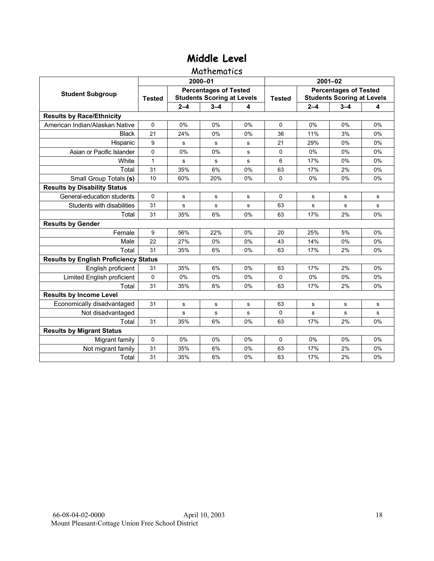#### Mathematics

|                                              |               |         | 2000-01                                                           |    | $2001 - 02$   |         |                                                                   |    |  |
|----------------------------------------------|---------------|---------|-------------------------------------------------------------------|----|---------------|---------|-------------------------------------------------------------------|----|--|
| <b>Student Subgroup</b>                      | <b>Tested</b> |         | <b>Percentages of Tested</b><br><b>Students Scoring at Levels</b> |    | <b>Tested</b> |         | <b>Percentages of Tested</b><br><b>Students Scoring at Levels</b> |    |  |
|                                              |               | $2 - 4$ | $3 - 4$                                                           | 4  |               | $2 - 4$ | $3 - 4$                                                           | 4  |  |
| <b>Results by Race/Ethnicity</b>             |               |         |                                                                   |    |               |         |                                                                   |    |  |
| American Indian/Alaskan Native               | $\Omega$      | 0%      | 0%                                                                | 0% | $\Omega$      | 0%      | 0%                                                                | 0% |  |
| <b>Black</b>                                 | 21            | 24%     | 0%                                                                | 0% | 36            | 11%     | 3%                                                                | 0% |  |
| Hispanic                                     | 9             | s       | s                                                                 | s  | 21            | 29%     | 0%                                                                | 0% |  |
| Asian or Pacific Islander                    | 0             | 0%      | 0%                                                                | s  | 0             | 0%      | 0%                                                                | 0% |  |
| White                                        | 1             | s       | ${\bf s}$                                                         | s  | 6             | 17%     | 0%                                                                | 0% |  |
| Total                                        | 31            | 35%     | 6%                                                                | 0% | 63            | 17%     | 2%                                                                | 0% |  |
| Small Group Totals (s)                       | 10            | 60%     | 20%                                                               | 0% | 0             | 0%      | 0%                                                                | 0% |  |
| <b>Results by Disability Status</b>          |               |         |                                                                   |    |               |         |                                                                   |    |  |
| General-education students                   | $\Omega$      | s       | s                                                                 | s  | $\Omega$      | s       | s                                                                 | s  |  |
| Students with disabilities                   | 31            | s       | s                                                                 | s  | 63            | s       | s                                                                 | s  |  |
| Total                                        | 31            | 35%     | 6%                                                                | 0% | 63            | 17%     | 2%                                                                | 0% |  |
| <b>Results by Gender</b>                     |               |         |                                                                   |    |               |         |                                                                   |    |  |
| Female                                       | 9             | 56%     | 22%                                                               | 0% | 20            | 25%     | 5%                                                                | 0% |  |
| Male                                         | 22            | 27%     | 0%                                                                | 0% | 43            | 14%     | 0%                                                                | 0% |  |
| Total                                        | 31            | 35%     | 6%                                                                | 0% | 63            | 17%     | 2%                                                                | 0% |  |
| <b>Results by English Proficiency Status</b> |               |         |                                                                   |    |               |         |                                                                   |    |  |
| English proficient                           | 31            | 35%     | 6%                                                                | 0% | 63            | 17%     | 2%                                                                | 0% |  |
| Limited English proficient                   | 0             | 0%      | 0%                                                                | 0% | $\Omega$      | 0%      | 0%                                                                | 0% |  |
| Total                                        | 31            | 35%     | 6%                                                                | 0% | 63            | 17%     | 2%                                                                | 0% |  |
| <b>Results by Income Level</b>               |               |         |                                                                   |    |               |         |                                                                   |    |  |
| Economically disadvantaged                   | 31            | s       | s                                                                 | s  | 63            | s       | s                                                                 | s  |  |
| Not disadvantaged                            |               | s       | s                                                                 | s  | $\Omega$      | s       | s                                                                 | s  |  |
| Total                                        | 31            | 35%     | 6%                                                                | 0% | 63            | 17%     | 2%                                                                | 0% |  |
| <b>Results by Migrant Status</b>             |               |         |                                                                   |    |               |         |                                                                   |    |  |
| Migrant family                               | 0             | 0%      | 0%                                                                | 0% | 0             | 0%      | 0%                                                                | 0% |  |
| Not migrant family                           | 31            | 35%     | 6%                                                                | 0% | 63            | 17%     | 2%                                                                | 0% |  |
| Total                                        | 31            | 35%     | 6%                                                                | 0% | 63            | 17%     | 2%                                                                | 0% |  |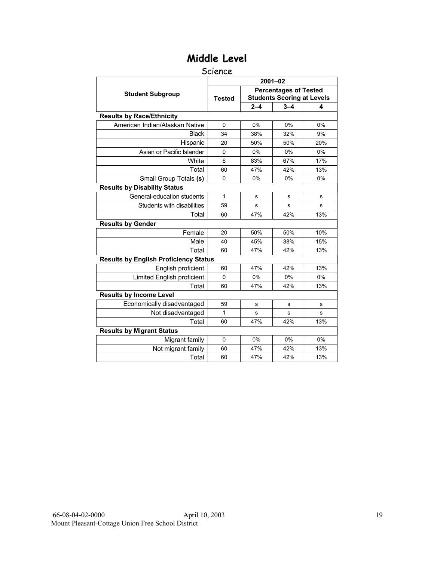#### Science

|                                              |               |         | $2001 - 02$                       |     |
|----------------------------------------------|---------------|---------|-----------------------------------|-----|
| <b>Student Subgroup</b>                      |               |         | <b>Percentages of Tested</b>      |     |
|                                              | <b>Tested</b> |         | <b>Students Scoring at Levels</b> |     |
|                                              |               | $2 - 4$ | $3 - 4$                           | 4   |
| <b>Results by Race/Ethnicity</b>             |               |         |                                   |     |
| American Indian/Alaskan Native               | 0             | 0%      | 0%                                | 0%  |
| <b>Black</b>                                 | 34            | 38%     | 32%                               | 9%  |
| Hispanic                                     | 20            | 50%     | 50%                               | 20% |
| Asian or Pacific Islander                    | $\mathbf 0$   | 0%      | 0%                                | 0%  |
| White                                        | 6             | 83%     | 67%                               | 17% |
| Total                                        | 60            | 47%     | 42%                               | 13% |
| Small Group Totals (s)                       | 0             | 0%      | 0%                                | 0%  |
| <b>Results by Disability Status</b>          |               |         |                                   |     |
| General-education students                   | 1             | s       | s                                 | s   |
| Students with disabilities                   | 59            | s       | s                                 | s   |
| Total                                        | 60            | 47%     | 42%                               | 13% |
| <b>Results by Gender</b>                     |               |         |                                   |     |
| Female                                       | 20            | 50%     | 50%                               | 10% |
| Male                                         | 40            | 45%     | 38%                               | 15% |
| Total                                        | 60            | 47%     | 42%                               | 13% |
| <b>Results by English Proficiency Status</b> |               |         |                                   |     |
| English proficient                           | 60            | 47%     | 42%                               | 13% |
| Limited English proficient                   | $\Omega$      | 0%      | 0%                                | 0%  |
| Total                                        | 60            | 47%     | 42%                               | 13% |
| <b>Results by Income Level</b>               |               |         |                                   |     |
| Economically disadvantaged                   | 59            | s       | s                                 | s   |
| Not disadvantaged                            | 1             | s       | s                                 | s   |
| Total                                        | 60            | 47%     | 42%                               | 13% |
| <b>Results by Migrant Status</b>             |               |         |                                   |     |
| Migrant family                               | $\mathbf 0$   | 0%      | 0%                                | 0%  |
| Not migrant family                           | 60            | 47%     | 42%                               | 13% |
| Total                                        | 60            | 47%     | 42%                               | 13% |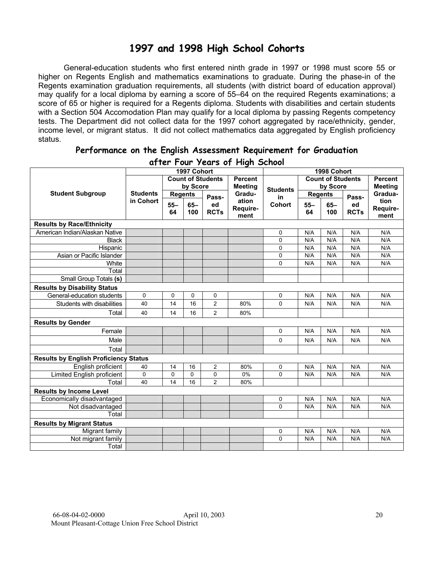## **1997 and 1998 High School Cohorts**

General-education students who first entered ninth grade in 1997 or 1998 must score 55 or higher on Regents English and mathematics examinations to graduate. During the phase-in of the Regents examination graduation requirements, all students (with district board of education approval) may qualify for a local diploma by earning a score of 55–64 on the required Regents examinations; a score of 65 or higher is required for a Regents diploma. Students with disabilities and certain students with a Section 504 Accomodation Plan may qualify for a local diploma by passing Regents competency tests. The Department did not collect data for the 1997 cohort aggregated by race/ethnicity, gender, income level, or migrant status. It did not collect mathematics data aggregated by English proficiency status.

| aller Four years of Filgh School             |                 |                |             |                          |                |                 |        |                          |             |                |
|----------------------------------------------|-----------------|----------------|-------------|--------------------------|----------------|-----------------|--------|--------------------------|-------------|----------------|
|                                              |                 |                | 1997 Cohort |                          |                |                 |        | 1998 Cohort              |             |                |
|                                              |                 |                |             | <b>Count of Students</b> | <b>Percent</b> |                 |        | <b>Count of Students</b> |             | <b>Percent</b> |
|                                              |                 |                | by Score    |                          | <b>Meeting</b> | <b>Students</b> |        | by Score                 |             | <b>Meeting</b> |
| <b>Student Subgroup</b>                      | <b>Students</b> | <b>Regents</b> |             | Pass-                    | Gradu-         | in              |        | <b>Regents</b>           | Pass-       | Gradua-        |
|                                              | in Cohort       | $55 -$         | $65 -$      | ed                       | ation          | Cohort          | $55 -$ | $65-$                    | ed          | tion           |
|                                              |                 | 64             | 100         | <b>RCTs</b>              | Require-       |                 | 64     | 100                      | <b>RCTs</b> | Require-       |
|                                              |                 |                |             |                          | ment           |                 |        |                          |             | ment           |
| <b>Results by Race/Ethnicity</b>             |                 |                |             |                          |                |                 |        |                          |             |                |
| American Indian/Alaskan Native               |                 |                |             |                          |                | 0               | N/A    | N/A                      | N/A         | N/A            |
| <b>Black</b>                                 |                 |                |             |                          |                | 0               | N/A    | N/A                      | N/A         | N/A            |
| Hispanic                                     |                 |                |             |                          |                | 0               | N/A    | N/A                      | N/A         | N/A            |
| Asian or Pacific Islander                    |                 |                |             |                          |                | 0               | N/A    | N/A                      | N/A         | N/A            |
| White                                        |                 |                |             |                          |                | 0               | N/A    | N/A                      | N/A         | N/A            |
| Total                                        |                 |                |             |                          |                |                 |        |                          |             |                |
| Small Group Totals (s)                       |                 |                |             |                          |                |                 |        |                          |             |                |
| <b>Results by Disability Status</b>          |                 |                |             |                          |                |                 |        |                          |             |                |
| General-education students                   | $\mathbf 0$     | $\mathbf 0$    | 0           | 0                        |                | 0               | N/A    | N/A                      | N/A         | N/A            |
| Students with disabilities                   | 40              | 14             | 16          | $\overline{2}$           | 80%            | 0               | N/A    | N/A                      | N/A         | N/A            |
| Total                                        | 40              | 14             | 16          | $\overline{2}$           | 80%            |                 |        |                          |             |                |
| <b>Results by Gender</b>                     |                 |                |             |                          |                |                 |        |                          |             |                |
| Female                                       |                 |                |             |                          |                | 0               | N/A    | N/A                      | N/A         | N/A            |
| Male                                         |                 |                |             |                          |                | 0               | N/A    | N/A                      | N/A         | N/A            |
| Total                                        |                 |                |             |                          |                |                 |        |                          |             |                |
| <b>Results by English Proficiency Status</b> |                 |                |             |                          |                |                 |        |                          |             |                |
| English proficient                           | 40              | 14             | 16          | $\overline{c}$           | 80%            | 0               | N/A    | N/A                      | N/A         | N/A            |
| Limited English proficient                   | 0               | $\mathbf 0$    | $\mathbf 0$ | 0                        | 0%             | 0               | N/A    | N/A                      | N/A         | N/A            |
| Total                                        | 40              | 14             | 16          | $\overline{2}$           | 80%            |                 |        |                          |             |                |
| <b>Results by Income Level</b>               |                 |                |             |                          |                |                 |        |                          |             |                |
| Economically disadvantaged                   |                 |                |             |                          |                | 0               | N/A    | N/A                      | N/A         | N/A            |
| Not disadvantaged                            |                 |                |             |                          |                | 0               | N/A    | N/A                      | N/A         | N/A            |
| Total                                        |                 |                |             |                          |                |                 |        |                          |             |                |
| <b>Results by Migrant Status</b>             |                 |                |             |                          |                |                 |        |                          |             |                |
| Migrant family                               |                 |                |             |                          |                | 0               | N/A    | N/A                      | N/A         | N/A            |
| Not migrant family                           |                 |                |             |                          |                | 0               | N/A    | N/A                      | N/A         | N/A            |
| Total                                        |                 |                |             |                          |                |                 |        |                          |             |                |

#### **Performance on the English Assessment Requirement for Graduation after Four Years of High School**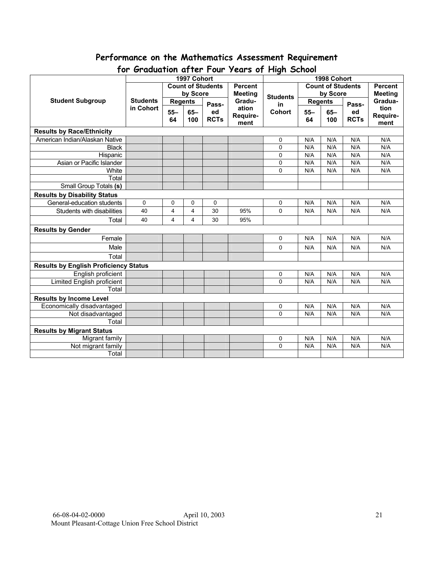# **Performance on the Mathematics Assessment Requirement**

|                                              | TOP OPERATION OF THE TOUR YEARS OF FIIGHT OCHOOL |                |                |                          |                 |             |                          |                |                |                |
|----------------------------------------------|--------------------------------------------------|----------------|----------------|--------------------------|-----------------|-------------|--------------------------|----------------|----------------|----------------|
|                                              |                                                  |                | 1997 Cohort    |                          |                 | 1998 Cohort |                          |                |                |                |
|                                              |                                                  |                |                | <b>Count of Students</b> | <b>Percent</b>  |             | <b>Count of Students</b> |                |                | <b>Percent</b> |
|                                              |                                                  | by Score       |                | <b>Meeting</b>           | <b>Students</b> | by Score    |                          |                | <b>Meeting</b> |                |
| <b>Student Subgroup</b>                      | <b>Students</b>                                  | <b>Regents</b> |                | Pass-                    | Gradu-          | in          |                          | <b>Regents</b> | Pass-          | Gradua-        |
|                                              | in Cohort                                        | $55 -$         | $65 -$         | ed                       | ation           | Cohort      | $55 -$                   | $65-$          | ed             | tion           |
|                                              |                                                  | 64             | 100            | <b>RCTs</b>              | Require-        |             | 64                       | 100            | <b>RCTs</b>    | Require-       |
|                                              |                                                  |                |                |                          | ment            |             |                          |                |                | ment           |
| <b>Results by Race/Ethnicity</b>             |                                                  |                |                |                          |                 |             |                          |                |                |                |
| American Indian/Alaskan Native               |                                                  |                |                |                          |                 | 0           | N/A                      | N/A            | N/A            | N/A            |
| <b>Black</b>                                 |                                                  |                |                |                          |                 | 0           | N/A                      | N/A            | N/A            | N/A            |
| Hispanic                                     |                                                  |                |                |                          |                 | 0           | N/A                      | N/A            | N/A            | N/A            |
| Asian or Pacific Islander                    |                                                  |                |                |                          |                 | 0           | N/A                      | N/A            | N/A            | N/A            |
| White                                        |                                                  |                |                |                          |                 | 0           | N/A                      | N/A            | N/A            | N/A            |
| Total                                        |                                                  |                |                |                          |                 |             |                          |                |                |                |
| Small Group Totals (s)                       |                                                  |                |                |                          |                 |             |                          |                |                |                |
| <b>Results by Disability Status</b>          |                                                  |                |                |                          |                 |             |                          |                |                |                |
| General-education students                   | 0                                                | 0              | 0              | 0                        |                 | $\mathbf 0$ | N/A                      | N/A            | N/A            | N/A            |
| Students with disabilities                   | 40                                               | $\overline{4}$ | $\overline{4}$ | 30                       | 95%             | $\Omega$    | N/A                      | N/A            | N/A            | N/A            |
| Total                                        | 40                                               | 4              | 4              | 30                       | 95%             |             |                          |                |                |                |
| <b>Results by Gender</b>                     |                                                  |                |                |                          |                 |             |                          |                |                |                |
| Female                                       |                                                  |                |                |                          |                 | 0           | N/A                      | N/A            | N/A            | N/A            |
| Male                                         |                                                  |                |                |                          |                 | 0           | N/A                      | N/A            | N/A            | N/A            |
| Total                                        |                                                  |                |                |                          |                 |             |                          |                |                |                |
| <b>Results by English Proficiency Status</b> |                                                  |                |                |                          |                 |             |                          |                |                |                |
| English proficient                           |                                                  |                |                |                          |                 | 0           | N/A                      | N/A            | N/A            | N/A            |
| <b>Limited English proficient</b>            |                                                  |                |                |                          |                 | $\Omega$    | N/A                      | N/A            | N/A            | N/A            |
| Total                                        |                                                  |                |                |                          |                 |             |                          |                |                |                |
| <b>Results by Income Level</b>               |                                                  |                |                |                          |                 |             |                          |                |                |                |
| Economically disadvantaged                   |                                                  |                |                |                          |                 | 0           | N/A                      | N/A            | N/A            | N/A            |
| Not disadvantaged                            |                                                  |                |                |                          |                 | 0           | N/A                      | N/A            | N/A            | N/A            |
| Total                                        |                                                  |                |                |                          |                 |             |                          |                |                |                |
| <b>Results by Migrant Status</b>             |                                                  |                |                |                          |                 |             |                          |                |                |                |
| Migrant family                               |                                                  |                |                |                          |                 | 0           | N/A                      | N/A            | N/A            | N/A            |
| Not migrant family                           |                                                  |                |                |                          |                 | 0           | N/A                      | N/A            | N/A            | N/A            |
| Total                                        |                                                  |                |                |                          |                 |             |                          |                |                |                |

## **for Graduation after Four Years of High School**